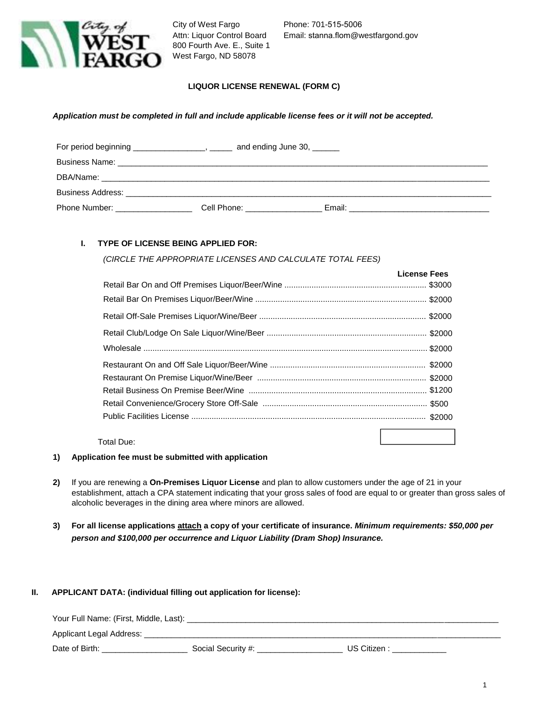

City of West Fargo Attn: Liquor Control Board 800 Fourth Ave. E., Suite 1 West Fargo, ND 58078

Phone: 701-515-5006 Email: stanna.flom@westfargond.gov

## **LIQUOR LICENSE RENEWAL (FORM C)**

#### *Application must be completed in full and include applicable license fees or it will not be accepted.*

| For period beginning _____________________, ______ | and ending June 30,                                                                                                                                                                                                                  |  |
|----------------------------------------------------|--------------------------------------------------------------------------------------------------------------------------------------------------------------------------------------------------------------------------------------|--|
|                                                    |                                                                                                                                                                                                                                      |  |
|                                                    |                                                                                                                                                                                                                                      |  |
|                                                    |                                                                                                                                                                                                                                      |  |
| Phone Number: ________________                     | Cell Phone: <u>contract and contract and contract and contract and contract and contract and contract and contract and contract and contract and contract and contract and contract and contract and contract and contract and c</u> |  |

## **I. TYPE OF LICENSE BEING APPLIED FOR:**

*(CIRCLE THE APPROPRIATE LICENSES AND CALCULATE TOTAL FEES)*

| <b>License Fees</b> |
|---------------------|
|                     |
|                     |
|                     |
|                     |
|                     |
|                     |
|                     |
|                     |
|                     |
|                     |
|                     |

Total Due:

#### **1) Application fee must be submitted with application**

- **2)** If you are renewing a **On-Premises Liquor License** and plan to allow customers under the age of 21 in your establishment, attach a CPA statement indicating that your gross sales of food are equal to or greater than gross sales of alcoholic beverages in the dining area where minors are allowed.
- **3) For all license applications attach a copy of your certificate of insurance.** *Minimum requirements: \$50,000 per person and \$100,000 per occurrence and Liquor Liability (Dram Shop) Insurance.*

#### **II. APPLICANT DATA: (individual filling out application for license):**

| Your Full Name: (First, Middle, Last): |                    |            |  |  |
|----------------------------------------|--------------------|------------|--|--|
| Applicant Legal Address:               |                    |            |  |  |
| Date of Birth:                         | Social Security #: | US Citizen |  |  |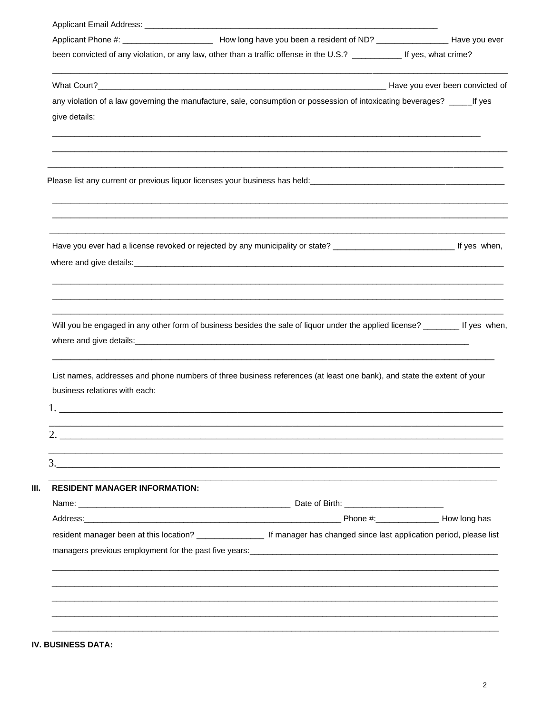| been convicted of any violation, or any law, other than a traffic offense in the U.S.? ____________ If yes, what crime?<br>any violation of a law governing the manufacture, sale, consumption or possession of intoxicating beverages? _____If yes<br>give details: |  |  |
|----------------------------------------------------------------------------------------------------------------------------------------------------------------------------------------------------------------------------------------------------------------------|--|--|
|                                                                                                                                                                                                                                                                      |  |  |
|                                                                                                                                                                                                                                                                      |  |  |
|                                                                                                                                                                                                                                                                      |  |  |
|                                                                                                                                                                                                                                                                      |  |  |
|                                                                                                                                                                                                                                                                      |  |  |
|                                                                                                                                                                                                                                                                      |  |  |
|                                                                                                                                                                                                                                                                      |  |  |
| ,我们也不能在这里,我们也不能会在这里,我们也不能会在这里,我们也不能会不能会不能会不能会。""我们的人,我们也不能会不能会不能会不能会不能会不能会不能会不能会<br>Will you be engaged in any other form of business besides the sale of liquor under the applied license? ________ If yes when,                                                    |  |  |
| List names, addresses and phone numbers of three business references (at least one bank), and state the extent of your<br>business relations with each:                                                                                                              |  |  |
|                                                                                                                                                                                                                                                                      |  |  |
|                                                                                                                                                                                                                                                                      |  |  |
| <b>RESIDENT MANAGER INFORMATION:</b>                                                                                                                                                                                                                                 |  |  |
| Address: How long has a structure of the structure of the structure of the Phone #: How long has haddress:                                                                                                                                                           |  |  |
|                                                                                                                                                                                                                                                                      |  |  |
|                                                                                                                                                                                                                                                                      |  |  |
| resident manager been at this location? _____________________ If manager has changed since last application period, please list                                                                                                                                      |  |  |

IV. BUSINESS DATA: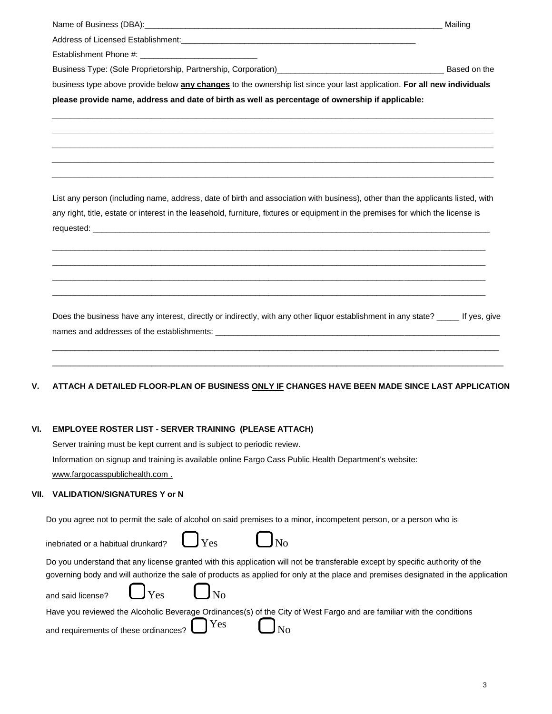| Name of Business (DBA):            | Mailing |
|------------------------------------|---------|
| Address of Licensed Establishment: |         |
| Establishment Phone #:             |         |

Business Type: (Sole Proprietorship, Partnership, Corporation)\_\_\_\_\_\_\_\_\_\_\_\_\_\_\_\_\_\_\_\_\_\_\_\_\_\_\_\_\_\_\_\_\_\_\_\_\_ Based on the

business type above provide below **any changes** to the ownership list since your last application. **For all new individuals please provide name, address and date of birth as well as percentage of ownership if applicable:**

**\_\_\_\_\_\_\_\_\_\_\_\_\_\_\_\_\_\_\_\_\_\_\_\_\_\_\_\_\_\_\_\_\_\_\_\_\_\_\_\_\_\_\_\_\_\_\_\_\_\_\_\_\_\_\_\_\_\_\_\_\_\_\_\_\_\_\_\_\_\_\_\_\_\_\_\_\_\_\_\_\_\_\_\_\_\_\_\_\_\_\_\_\_\_\_\_\_\_ \_\_\_\_\_\_\_\_\_\_\_\_\_\_\_\_\_\_\_\_\_\_\_\_\_\_\_\_\_\_\_\_\_\_\_\_\_\_\_\_\_\_\_\_\_\_\_\_\_\_\_\_\_\_\_\_\_\_\_\_\_\_\_\_\_\_\_\_\_\_\_\_\_\_\_\_\_\_\_\_\_\_\_\_\_\_\_\_\_\_\_\_\_\_\_\_\_\_ \_\_\_\_\_\_\_\_\_\_\_\_\_\_\_\_\_\_\_\_\_\_\_\_\_\_\_\_\_\_\_\_\_\_\_\_\_\_\_\_\_\_\_\_\_\_\_\_\_\_\_\_\_\_\_\_\_\_\_\_\_\_\_\_\_\_\_\_\_\_\_\_\_\_\_\_\_\_\_\_\_\_\_\_\_\_\_\_\_\_\_\_\_\_\_\_\_\_ \_\_\_\_\_\_\_\_\_\_\_\_\_\_\_\_\_\_\_\_\_\_\_\_\_\_\_\_\_\_\_\_\_\_\_\_\_\_\_\_\_\_\_\_\_\_\_\_\_\_\_\_\_\_\_\_\_\_\_\_\_\_\_\_\_\_\_\_\_\_\_\_\_\_\_\_\_\_\_\_\_\_\_\_\_\_\_\_\_\_\_\_\_\_\_\_\_\_ \_\_\_\_\_\_\_\_\_\_\_\_\_\_\_\_\_\_\_\_\_\_\_\_\_\_\_\_\_\_\_\_\_\_\_\_\_\_\_\_\_\_\_\_\_\_\_\_\_\_\_\_\_\_\_\_\_\_\_\_\_\_\_\_\_\_\_\_\_\_\_\_\_\_\_\_\_\_\_\_\_\_\_\_\_\_\_\_\_\_\_\_\_\_\_\_\_\_**

List any person (including name, address, date of birth and association with business), other than the applicants listed, with any right, title, estate or interest in the leasehold, furniture, fixtures or equipment in the premises for which the license is requested: \_\_\_\_\_\_\_\_\_\_\_\_\_\_\_\_\_\_\_\_\_\_\_\_\_\_\_\_\_\_\_\_\_\_\_\_\_\_\_\_\_\_\_\_\_\_\_\_\_\_\_\_\_\_\_\_\_\_\_\_\_\_\_\_\_\_\_\_\_\_\_\_\_\_\_\_\_\_\_\_\_\_\_\_\_\_\_\_

 $\_$  ,  $\_$  ,  $\_$  ,  $\_$  ,  $\_$  ,  $\_$  ,  $\_$  ,  $\_$  ,  $\_$  ,  $\_$  ,  $\_$  ,  $\_$  ,  $\_$  ,  $\_$  ,  $\_$  ,  $\_$  ,  $\_$  ,  $\_$  ,  $\_$  ,  $\_$  ,  $\_$  ,  $\_$  ,  $\_$  ,  $\_$  ,  $\_$  ,  $\_$  ,  $\_$  ,  $\_$  ,  $\_$  ,  $\_$  ,  $\_$  ,  $\_$  ,  $\_$  ,  $\_$  ,  $\_$  ,  $\_$  ,  $\_$  ,  $\_$  ,  $\_$  ,  $\_$  ,  $\_$  ,  $\_$  ,  $\_$  ,  $\_$  ,  $\_$  ,  $\_$  ,  $\_$  ,  $\_$  ,  $\_$  ,  $\_$  ,  $\_$  ,  $\_$  ,  $\_$  ,  $\_$  ,  $\_$  ,  $\_$  ,  $\_$  ,  $\_$  ,  $\_$  ,  $\_$  ,  $\_$  ,  $\_$  ,  $\_$  ,  $\_$  ,  $\_$  ,  $\_$  ,  $\_$  ,  $\_$  ,  $\_$  ,  $\_$  ,  $\_$  ,  $\_$  ,  $\_$  ,  $\_$  ,  $\_$  ,  $\_$  ,  $\_$  ,  $\_$  ,  $\_$  ,  $\_$  ,  $\_$  ,  $\_$  ,  $\_$  ,  $\_$  ,  $\_$  ,  $\_$  ,  $\_$  ,  $\_$  ,  $\_$  ,  $\_$  ,  $\_$  ,  $\_$  ,  $\_$  ,  $\_$  ,  $\_$  ,  $\_$  ,  $\_$  ,  $\_$  ,  $\_$  ,  $\_$  ,  $\_$  ,  $\_$  ,  $\_$  ,  $\_$  ,  $\_$  ,  $\_$  ,  $\_$  ,  $\_$  ,  $\_$  ,  $\_$  ,  $\_$  ,  $\_$  ,  $\_$  ,  $\_$  ,  $\_$  ,  $\_$  ,  $\_$  ,  $\_$  ,  $\_$  ,  $\_$  ,  $\_$  ,  $\_$  ,  $\_$  ,  $\_$  ,  $\_$  ,  $\_$  ,  $\_$  ,  $\_$  ,  $\_$  ,  $\_$  ,  $\_$  ,  $\_$  ,  $\_$  ,  $\_$  ,  $\_$  ,  $\_$  ,  $\_$  ,  $\_$  ,  $\_$  ,  $\_$  ,  $\_$  ,  $\_$  ,  $\_$  ,  $\_$  ,  $\_$  ,  $\_$  ,  $\_$  ,  $\_$  ,

Does the business have any interest, directly or indirectly, with any other liquor establishment in any state? \_\_\_\_\_ If yes, give names and addresses of the establishments: \_\_\_\_\_\_

\_\_\_\_\_\_\_\_\_\_\_\_\_\_\_\_\_\_\_\_\_\_\_\_\_\_\_\_\_\_\_\_\_\_\_\_\_\_\_\_\_\_\_\_\_\_\_\_\_\_\_\_\_\_\_\_\_\_\_\_\_\_\_\_\_\_\_\_\_\_\_\_\_\_\_\_\_\_\_\_\_\_\_\_\_\_\_\_\_\_\_\_\_\_\_\_\_\_\_ \_\_\_\_\_\_\_\_\_\_\_\_\_\_\_\_\_\_\_\_\_\_\_\_\_\_\_\_\_\_\_\_\_\_\_\_\_\_\_\_\_\_\_\_\_\_\_\_\_\_\_\_\_\_\_\_\_\_\_\_\_\_\_\_\_\_\_\_\_\_\_\_\_\_\_\_\_\_\_\_\_\_\_\_\_\_\_\_\_\_\_\_\_\_\_\_\_\_\_\_

# **V. ATTACH A DETAILED FLOOR-PLAN OF BUSINESS ONLY IF CHANGES HAVE BEEN MADE SINCE LAST APPLICATION**

# **VI. EMPLOYEE ROSTER LIST - SERVER TRAINING (PLEASE ATTACH)**

Server training must be kept current and is subject to periodic review. Information on signup and training is available online Fargo Cass Public Health Department's website: www.fargocasspublichealth.com .

# **VII. VALIDATION/SIGNATURES Y or N**

Do you agree not to permit the sale of alcohol on said premises to a minor, incompetent person, or a person who is

| inebriated or a habitual drunkard? $\qquad \qquad \bullet$ $_{\rm Yes}$ $\qquad \qquad \bullet$ $_{\rm No}$ |                                                                                                                               |                                                                                                                                    |
|-------------------------------------------------------------------------------------------------------------|-------------------------------------------------------------------------------------------------------------------------------|------------------------------------------------------------------------------------------------------------------------------------|
|                                                                                                             | Do you understand that any license granted with this application will not be transferable except by specific authority of the |                                                                                                                                    |
|                                                                                                             |                                                                                                                               | governing body and will authorize the sale of products as applied for only at the place and premises designated in the application |
|                                                                                                             |                                                                                                                               |                                                                                                                                    |

Have you reviewed the Alcoholic Beverage Ordinances(s) of the City of West Fargo and are familiar with the conditions

| and requirements of these ordinances? $\Box$ |  | Yes |  | $\bigcup_{\text{No}}$ |
|----------------------------------------------|--|-----|--|-----------------------|
|----------------------------------------------|--|-----|--|-----------------------|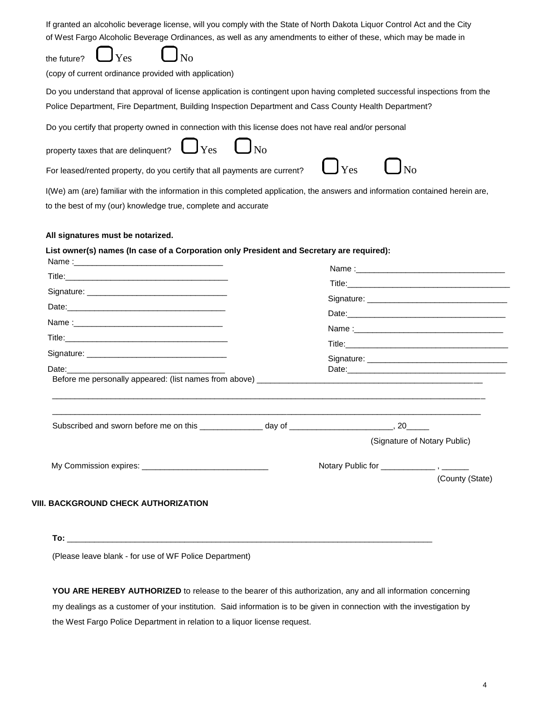| If granted an alcoholic beverage license, will you comply with the State of North Dakota Liquor Control Act and the City<br>of West Fargo Alcoholic Beverage Ordinances, as well as any amendments to either of these, which may be made in<br>$\bigcup$ Yes<br>the future?           |
|---------------------------------------------------------------------------------------------------------------------------------------------------------------------------------------------------------------------------------------------------------------------------------------|
| (copy of current ordinance provided with application)                                                                                                                                                                                                                                 |
| Do you understand that approval of license application is contingent upon having completed successful inspections from the<br>Police Department, Fire Department, Building Inspection Department and Cass County Health Department?                                                   |
| Do you certify that property owned in connection with this license does not have real and/or personal<br>property taxes that are delinquent? $\bigcup_{\text{Yes}} \bigcup_{\text{No}}$<br>$\bigcup$ Yes<br>For leased/rented property, do you certify that all payments are current? |
| I(We) am (are) familiar with the information in this completed application, the answers and information contained herein are,<br>to the best of my (our) knowledge true, complete and accurate                                                                                        |
| All signatures must be notarized.                                                                                                                                                                                                                                                     |
| List owner(s) names (In case of a Corporation only President and Secretary are required):<br>Name : $\overline{\phantom{a}}$<br>the control of the control of the control of the control of the control of                                                                            |
| Name :______                                                                                                                                                                                                                                                                          |

|  | (Signature of Notary Public) |  |
|--|------------------------------|--|
|  |                              |  |

**To:** \_\_\_\_\_\_\_\_\_\_\_\_\_\_\_\_\_\_\_\_\_\_\_\_\_\_\_\_\_\_\_\_\_\_\_\_\_\_\_\_\_\_\_\_\_\_\_\_\_\_\_\_\_\_\_\_\_\_\_\_\_\_\_\_\_\_\_\_\_\_\_\_\_\_\_\_\_\_\_\_\_

(Please leave blank - for use of WF Police Department)

**YOU ARE HEREBY AUTHORIZED** to release to the bearer of this authorization, any and all information concerning my dealings as a customer of your institution. Said information is to be given in connection with the investigation by the West Fargo Police Department in relation to a liquor license request.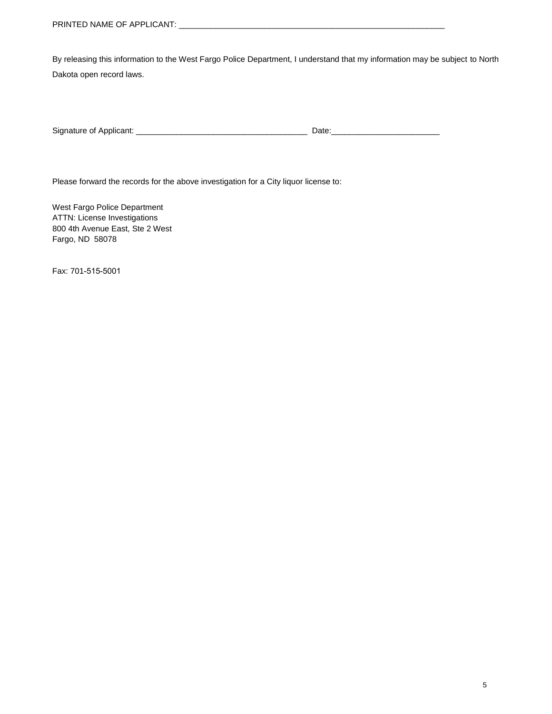By releasing this information to the West Fargo Police Department, I understand that my information may be subject to North Dakota open record laws.

| Signature of |  |
|--------------|--|
|              |  |

Please forward the records for the above investigation for a City liquor license to:

West Fargo Police Department ATTN: License Investigations 800 4th Avenue East, Ste 2 West Fargo, ND 58078

Fax: 701-515-5001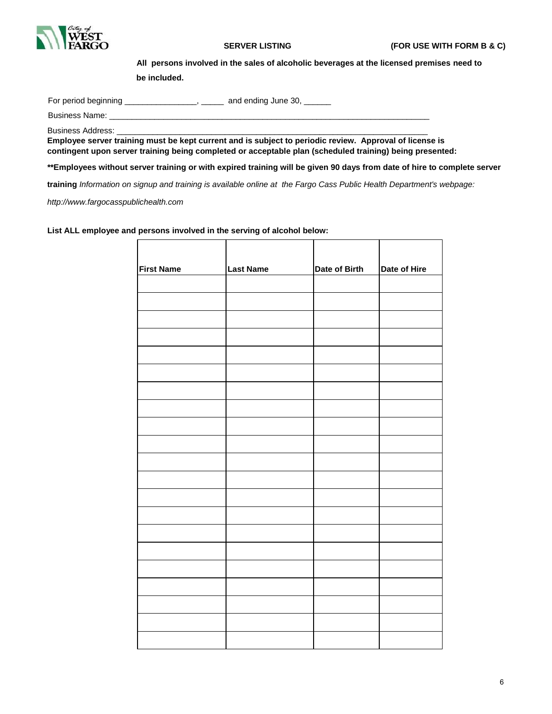

**All persons involved in the sales of alcoholic beverages at the licensed premises need to** 

**be included.**

For period beginning \_\_\_\_\_\_\_\_\_\_\_\_\_\_\_\_, \_\_\_\_\_\_ and ending June 30, \_\_\_\_\_\_

Business Name:

Business Address:

**Employee server training must be kept current and is subject to periodic review. Approval of license is contingent upon server training being completed or acceptable plan (scheduled training) being presented:**

**\*\*Employees without server training or with expired training will be given 90 days from date of hire to complete server** 

**training** *Information on signup and training is available online at the Fargo Cass Public Health Department's webpage:* 

*http://www.fargocasspublichealth.com*

**List ALL employee and persons involved in the serving of alcohol below:**

| <b>First Name</b> | <b>Last Name</b> | Date of Birth | Date of Hire |
|-------------------|------------------|---------------|--------------|
|                   |                  |               |              |
|                   |                  |               |              |
|                   |                  |               |              |
|                   |                  |               |              |
|                   |                  |               |              |
|                   |                  |               |              |
|                   |                  |               |              |
|                   |                  |               |              |
|                   |                  |               |              |
|                   |                  |               |              |
|                   |                  |               |              |
|                   |                  |               |              |
|                   |                  |               |              |
|                   |                  |               |              |
|                   |                  |               |              |
|                   |                  |               |              |
|                   |                  |               |              |
|                   |                  |               |              |
|                   |                  |               |              |
|                   |                  |               |              |
|                   |                  |               |              |